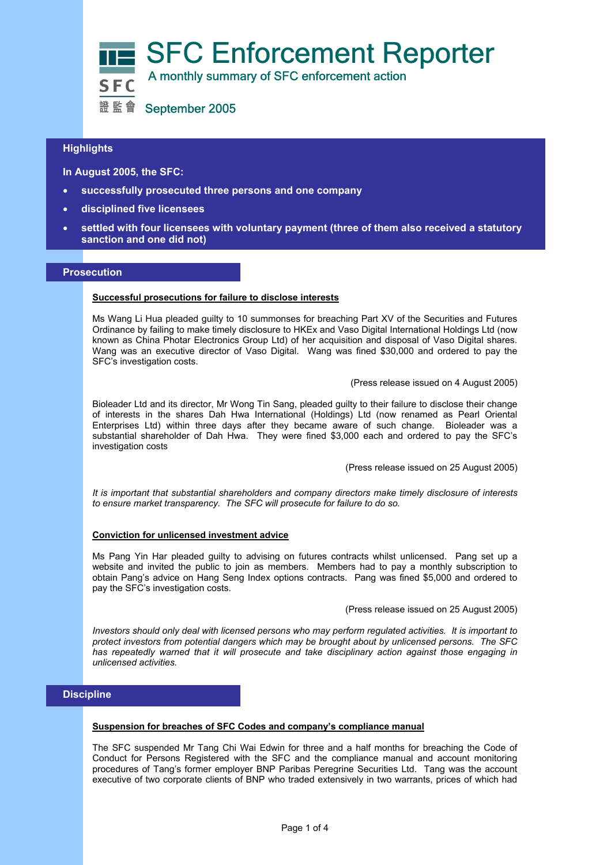

# L **Highlights**

 **In August 2005, the SFC:** 

- **successfully prosecuted three persons and one company**
- **disciplined five licensees**
- **settled with four licensees with voluntary payment (three of them also received a statutory sanction and one did not)**

## **Prosecution**

#### **Successful prosecutions for failure to disclose interests**

Ms Wang Li Hua pleaded guilty to 10 summonses for breaching Part XV of the Securities and Futures Ordinance by failing to make timely disclosure to HKEx and Vaso Digital International Holdings Ltd (now known as China Photar Electronics Group Ltd) of her acquisition and disposal of Vaso Digital shares. Wang was an executive director of Vaso Digital. Wang was fined \$30,000 and ordered to pay the SFC's investigation costs.

(Press release issued on 4 August 2005)

Bioleader Ltd and its director, Mr Wong Tin Sang, pleaded guilty to their failure to disclose their change of interests in the shares Dah Hwa International (Holdings) Ltd (now renamed as Pearl Oriental Enterprises Ltd) within three days after they became aware of such change. Bioleader was a substantial shareholder of Dah Hwa. They were fined \$3,000 each and ordered to pay the SFC's investigation costs

(Press release issued on 25 August 2005)

*It is important that substantial shareholders and company directors make timely disclosure of interests to ensure market transparency. The SFC will prosecute for failure to do so.* 

#### **Conviction for unlicensed investment advice**

Ms Pang Yin Har pleaded guilty to advising on futures contracts whilst unlicensed. Pang set up a website and invited the public to join as members. Members had to pay a monthly subscription to obtain Pang's advice on Hang Seng Index options contracts. Pang was fined \$5,000 and ordered to pay the SFC's investigation costs.

(Press release issued on 25 August 2005)

*Investors should only deal with licensed persons who may perform regulated activities. It is important to protect investors from potential dangers which may be brought about by unlicensed persons. The SFC has repeatedly warned that it will prosecute and take disciplinary action against those engaging in unlicensed activities.*

# **Discipline**

#### **Suspension for breaches of SFC Codes and company's compliance manual**

The SFC suspended Mr Tang Chi Wai Edwin for three and a half months for breaching the Code of Conduct for Persons Registered with the SFC and the compliance manual and account monitoring procedures of Tang's former employer BNP Paribas Peregrine Securities Ltd. Tang was the account executive of two corporate clients of BNP who traded extensively in two warrants, prices of which had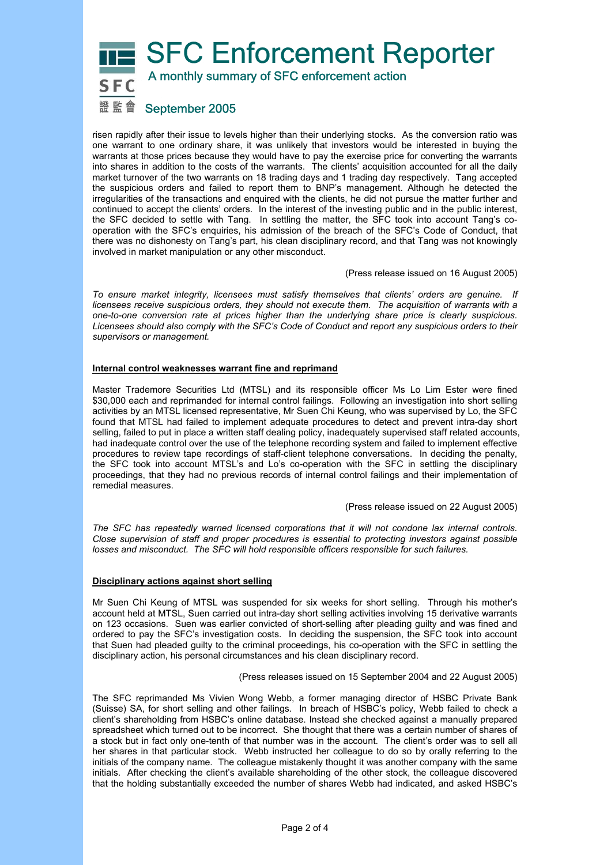# **SFC Enforcement Reporter**



A monthly summary of SFC enforcement action

# 證監會 September 2005

risen rapidly after their issue to levels higher than their underlying stocks. As the conversion ratio was one warrant to one ordinary share, it was unlikely that investors would be interested in buying the warrants at those prices because they would have to pay the exercise price for converting the warrants into shares in addition to the costs of the warrants. The clients' acquisition accounted for all the daily market turnover of the two warrants on 18 trading days and 1 trading day respectively. Tang accepted the suspicious orders and failed to report them to BNP's management. Although he detected the irregularities of the transactions and enquired with the clients, he did not pursue the matter further and continued to accept the clients' orders. In the interest of the investing public and in the public interest, the SFC decided to settle with Tang. In settling the matter, the SFC took into account Tang's cooperation with the SFC's enquiries, his admission of the breach of the SFC's Code of Conduct, that there was no dishonesty on Tang's part, his clean disciplinary record, and that Tang was not knowingly involved in market manipulation or any other misconduct.

(Press release issued on 16 August 2005)

*To ensure market integrity, licensees must satisfy themselves that clients' orders are genuine. If licensees receive suspicious orders, they should not execute them. The acquisition of warrants with a one-to-one conversion rate at prices higher than the underlying share price is clearly suspicious. Licensees should also comply with the SFC's Code of Conduct and report any suspicious orders to their supervisors or management.*

# **Internal control weaknesses warrant fine and reprimand**

Master Trademore Securities Ltd (MTSL) and its responsible officer Ms Lo Lim Ester were fined \$30,000 each and reprimanded for internal control failings. Following an investigation into short selling activities by an MTSL licensed representative, Mr Suen Chi Keung, who was supervised by Lo, the SFC found that MTSL had failed to implement adequate procedures to detect and prevent intra-day short selling, failed to put in place a written staff dealing policy, inadequately supervised staff related accounts, had inadequate control over the use of the telephone recording system and failed to implement effective procedures to review tape recordings of staff-client telephone conversations. In deciding the penalty, the SFC took into account MTSL's and Lo's co-operation with the SFC in settling the disciplinary proceedings, that they had no previous records of internal control failings and their implementation of remedial measures.

#### (Press release issued on 22 August 2005)

*The SFC has repeatedly warned licensed corporations that it will not condone lax internal controls. Close supervision of staff and proper procedures is essential to protecting investors against possible losses and misconduct. The SFC will hold responsible officers responsible for such failures.* 

# **Disciplinary actions against short selling**

Mr Suen Chi Keung of MTSL was suspended for six weeks for short selling. Through his mother's account held at MTSL, Suen carried out intra-day short selling activities involving 15 derivative warrants on 123 occasions. Suen was earlier convicted of short-selling after pleading guilty and was fined and ordered to pay the SFC's investigation costs. In deciding the suspension, the SFC took into account that Suen had pleaded guilty to the criminal proceedings, his co-operation with the SFC in settling the disciplinary action, his personal circumstances and his clean disciplinary record.

(Press releases issued on 15 September 2004 and 22 August 2005)

The SFC reprimanded Ms Vivien Wong Webb, a former managing director of HSBC Private Bank (Suisse) SA, for short selling and other failings. In breach of HSBC's policy, Webb failed to check a client's shareholding from HSBC's online database. Instead she checked against a manually prepared spreadsheet which turned out to be incorrect. She thought that there was a certain number of shares of a stock but in fact only one-tenth of that number was in the account. The client's order was to sell all her shares in that particular stock. Webb instructed her colleague to do so by orally referring to the initials of the company name. The colleague mistakenly thought it was another company with the same initials. After checking the client's available shareholding of the other stock, the colleague discovered that the holding substantially exceeded the number of shares Webb had indicated, and asked HSBC's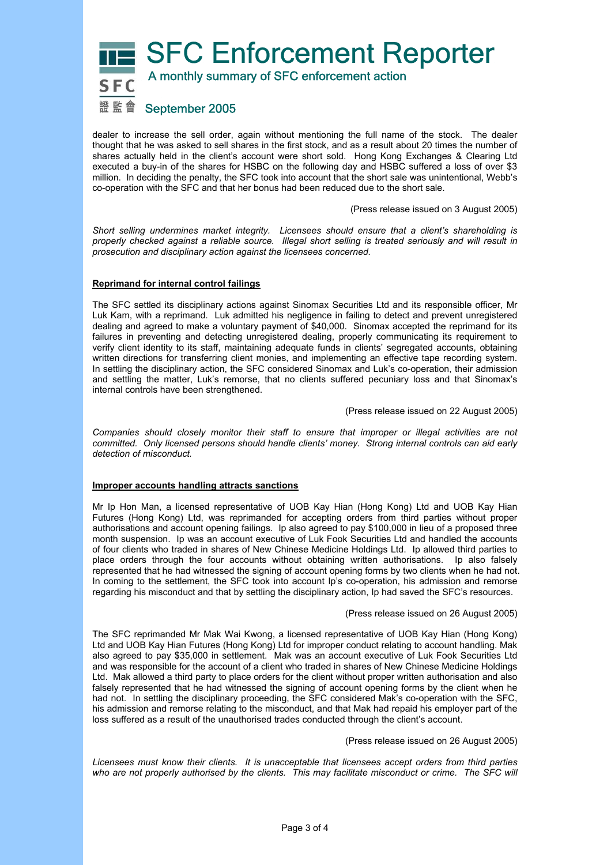SFC Enforcement Reporter



A monthly summary of SFC enforcement action

# 證監會 September 2005

dealer to increase the sell order, again without mentioning the full name of the stock. The dealer thought that he was asked to sell shares in the first stock, and as a result about 20 times the number of shares actually held in the client's account were short sold. Hong Kong Exchanges & Clearing Ltd executed a buy-in of the shares for HSBC on the following day and HSBC suffered a loss of over \$3 million. In deciding the penalty, the SFC took into account that the short sale was unintentional, Webb's co-operation with the SFC and that her bonus had been reduced due to the short sale.

(Press release issued on 3 August 2005)

*Short selling undermines market integrity. Licensees should ensure that a client's shareholding is properly checked against a reliable source. Illegal short selling is treated seriously and will result in prosecution and disciplinary action against the licensees concerned.* 

# **Reprimand for internal control failings**

The SFC settled its disciplinary actions against Sinomax Securities Ltd and its responsible officer, Mr Luk Kam, with a reprimand. Luk admitted his negligence in failing to detect and prevent unregistered dealing and agreed to make a voluntary payment of \$40,000. Sinomax accepted the reprimand for its failures in preventing and detecting unregistered dealing, properly communicating its requirement to verify client identity to its staff, maintaining adequate funds in clients' segregated accounts, obtaining written directions for transferring client monies, and implementing an effective tape recording system. In settling the disciplinary action, the SFC considered Sinomax and Luk's co-operation, their admission and settling the matter, Luk's remorse, that no clients suffered pecuniary loss and that Sinomax's internal controls have been strengthened.

(Press release issued on 22 August 2005)

*Companies should closely monitor their staff to ensure that improper or illegal activities are not committed. Only licensed persons should handle clients' money. Strong internal controls can aid early detection of misconduct.* 

#### **Improper accounts handling attracts sanctions**

Mr Ip Hon Man, a licensed representative of UOB Kay Hian (Hong Kong) Ltd and UOB Kay Hian Futures (Hong Kong) Ltd, was reprimanded for accepting orders from third parties without proper authorisations and account opening failings. Ip also agreed to pay \$100,000 in lieu of a proposed three month suspension. Ip was an account executive of Luk Fook Securities Ltd and handled the accounts of four clients who traded in shares of New Chinese Medicine Holdings Ltd. Ip allowed third parties to place orders through the four accounts without obtaining written authorisations. Ip also falsely represented that he had witnessed the signing of account opening forms by two clients when he had not. In coming to the settlement, the SFC took into account Ip's co-operation, his admission and remorse regarding his misconduct and that by settling the disciplinary action, Ip had saved the SFC's resources.

#### (Press release issued on 26 August 2005)

The SFC reprimanded Mr Mak Wai Kwong, a licensed representative of UOB Kay Hian (Hong Kong) Ltd and UOB Kay Hian Futures (Hong Kong) Ltd for improper conduct relating to account handling. Mak also agreed to pay \$35,000 in settlement. Mak was an account executive of Luk Fook Securities Ltd and was responsible for the account of a client who traded in shares of New Chinese Medicine Holdings Ltd. Mak allowed a third party to place orders for the client without proper written authorisation and also falsely represented that he had witnessed the signing of account opening forms by the client when he had not. In settling the disciplinary proceeding, the SFC considered Mak's co-operation with the SFC, his admission and remorse relating to the misconduct, and that Mak had repaid his employer part of the loss suffered as a result of the unauthorised trades conducted through the client's account.

(Press release issued on 26 August 2005)

*Licensees must know their clients. It is unacceptable that licensees accept orders from third parties*  who are not properly authorised by the clients. This may facilitate misconduct or crime. The SFC will